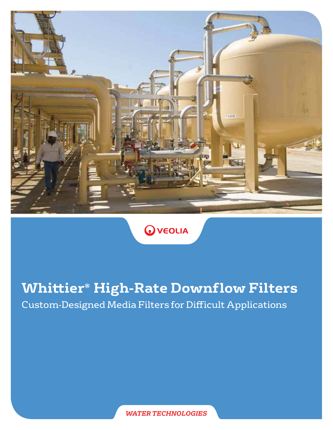

**O** VEOLIA

# **Whittier® High-Rate Downflow Filters**

Custom-Designed Media Filters for Difficult Applications

*WATER TECHNOLOGIES*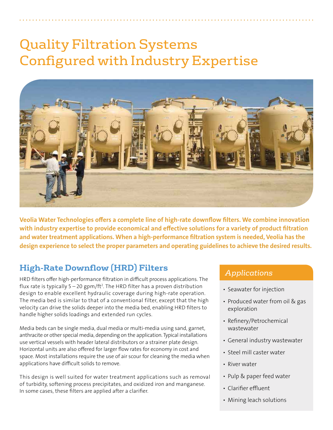# Quality Filtration Systems Configured with Industry Expertise



Veolia Water Technologies offers a complete line of high-rate downflow filters. We combine innovation with industry expertise to provide economical and effective solutions for a variety of product filtration and water treatment applications. When a high-performance filtration system is needed, Veolia has the design experience to select the proper parameters and operating guidelines to achieve the desired results.

## **High-Rate Downflow (HRD) Filters**

HRD filters offer high-performance filtration in difficult process applications. The flux rate is typically 5 – 20 gpm/ft2 . The HRD filter has a proven distribution design to enable excellent hydraulic coverage during high-rate operation. The media bed is similar to that of a conventional filter, except that the high velocity can drive the solids deeper into the media bed, enabling HRD filters to handle higher solids loadings and extended run cycles.

Media beds can be single media, dual media or multi-media using sand, garnet, anthracite or other special media, depending on the application. Typical installations use vertical vessels with header lateral distributors or a strainer plate design. Horizontal units are also offered for larger flow rates for economy in cost and space. Most installations require the use of air scour for cleaning the media when applications have difficult solids to remove.

This design is well suited for water treatment applications such as removal of turbidity, softening process precipitates, and oxidized iron and manganese. In some cases, these filters are applied after a clarifier.

#### *Applications*

- Seawater for injection
- Produced water from oil & gas exploration
- Refinery/Petrochemical wastewater
- General industry wastewater
- Steel mill caster water
- River water
- Pulp & paper feed water
- Clarifier effluent
- Mining leach solutions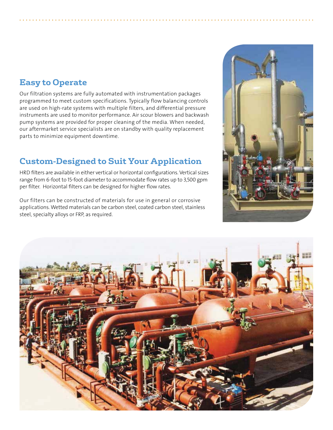#### **Easy to Operate**

Our filtration systems are fully automated with instrumentation packages programmed to meet custom specifications. Typically flow balancing controls are used on high-rate systems with multiple filters, and differential pressure instruments are used to monitor performance. Air scour blowers and backwash pump systems are provided for proper cleaning of the media. When needed, our aftermarket service specialists are on standby with quality replacement parts to minimize equipment downtime.

### **Custom-Designed to Suit Your Application**

HRD filters are available in either vertical or horizontal configurations. Vertical sizes range from 6-foot to 15-foot diameter to accommodate flow rates up to 3,500 gpm per filter. Horizontal filters can be designed for higher flow rates.

Our filters can be constructed of materials for use in general or corrosive applications. Wetted materials can be carbon steel, coated carbon steel, stainless steel, specialty alloys or FRP, as required.